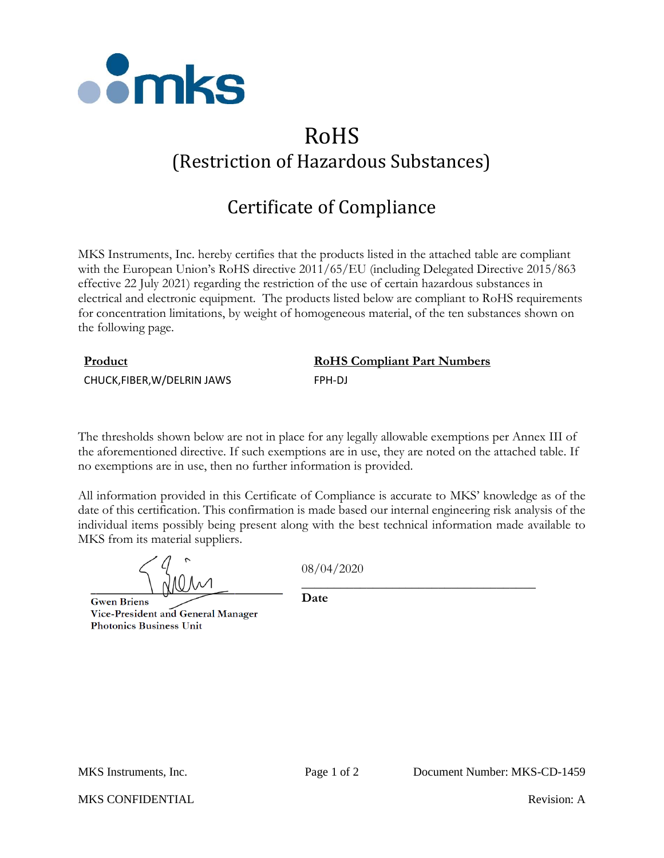

# RoHS (Restriction of Hazardous Substances)

## Certificate of Compliance

MKS Instruments, Inc. hereby certifies that the products listed in the attached table are compliant with the European Union's RoHS directive 2011/65/EU (including Delegated Directive 2015/863 effective 22 July 2021) regarding the restriction of the use of certain hazardous substances in electrical and electronic equipment. The products listed below are compliant to RoHS requirements for concentration limitations, by weight of homogeneous material, of the ten substances shown on the following page.

## **Product RoHS Compliant Part Numbers** CHUCK,FIBER,W/DELRIN JAWS FPH-DJ

The thresholds shown below are not in place for any legally allowable exemptions per Annex III of the aforementioned directive. If such exemptions are in use, they are noted on the attached table. If no exemptions are in use, then no further information is provided.

All information provided in this Certificate of Compliance is accurate to MKS' knowledge as of the date of this certification. This confirmation is made based our internal engineering risk analysis of the individual items possibly being present along with the best technical information made available to MKS from its material suppliers.

**Gwen Briens** Vice-President and General Manager **Photonics Business Unit** 

08/04/2020

\_\_\_\_\_\_\_\_\_\_\_\_\_\_\_\_\_\_\_\_\_\_\_\_\_\_\_\_\_\_\_\_\_\_\_\_

**Date**